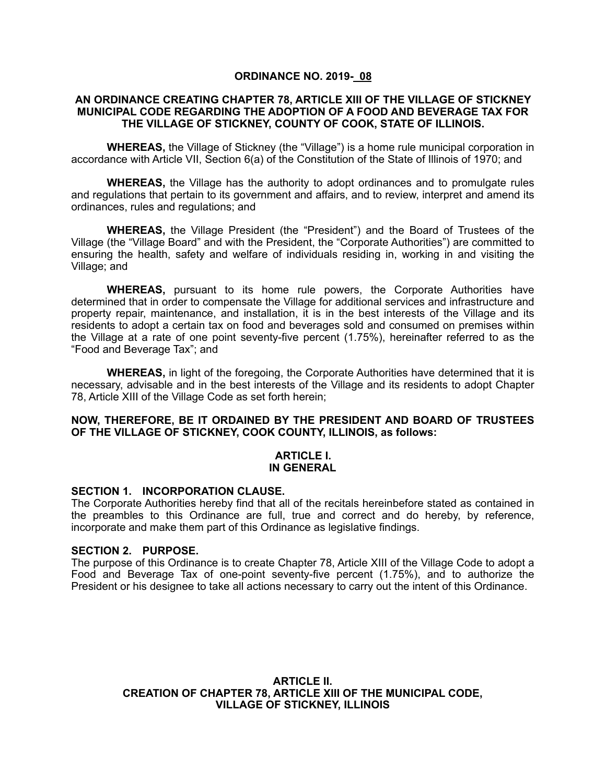### **ORDINANCE NO. 2019- 08**

#### **AN ORDINANCE CREATING CHAPTER 78, ARTICLE XIII OF THE VILLAGE OF STICKNEY MUNICIPAL CODE REGARDING THE ADOPTION OF A FOOD AND BEVERAGE TAX FOR THE VILLAGE OF STICKNEY, COUNTY OF COOK, STATE OF ILLINOIS.**

**WHEREAS,** the Village of Stickney (the "Village") is a home rule municipal corporation in accordance with Article VII, Section 6(a) of the Constitution of the State of Illinois of 1970; and

**WHEREAS,** the Village has the authority to adopt ordinances and to promulgate rules and regulations that pertain to its government and affairs, and to review, interpret and amend its ordinances, rules and regulations; and

**WHEREAS,** the Village President (the "President") and the Board of Trustees of the Village (the "Village Board" and with the President, the "Corporate Authorities") are committed to ensuring the health, safety and welfare of individuals residing in, working in and visiting the Village; and

**WHEREAS,** pursuant to its home rule powers, the Corporate Authorities have determined that in order to compensate the Village for additional services and infrastructure and property repair, maintenance, and installation, it is in the best interests of the Village and its residents to adopt a certain tax on food and beverages sold and consumed on premises within the Village at a rate of one point seventy-five percent (1.75%), hereinafter referred to as the "Food and Beverage Tax"; and

**WHEREAS,** in light of the foregoing, the Corporate Authorities have determined that it is necessary, advisable and in the best interests of the Village and its residents to adopt Chapter 78, Article XIII of the Village Code as set forth herein;

### **NOW, THEREFORE, BE IT ORDAINED BY THE PRESIDENT AND BOARD OF TRUSTEES OF THE VILLAGE OF STICKNEY, COOK COUNTY, ILLINOIS, as follows:**

#### **ARTICLE I. IN GENERAL**

#### **SECTION 1. INCORPORATION CLAUSE.**

The Corporate Authorities hereby find that all of the recitals hereinbefore stated as contained in the preambles to this Ordinance are full, true and correct and do hereby, by reference, incorporate and make them part of this Ordinance as legislative findings.

#### **SECTION 2. PURPOSE.**

The purpose of this Ordinance is to create Chapter 78, Article XIII of the Village Code to adopt a Food and Beverage Tax of one-point seventy-five percent (1.75%), and to authorize the President or his designee to take all actions necessary to carry out the intent of this Ordinance.

> **ARTICLE II. CREATION OF CHAPTER 78, ARTICLE XIII OF THE MUNICIPAL CODE, VILLAGE OF STICKNEY, ILLINOIS**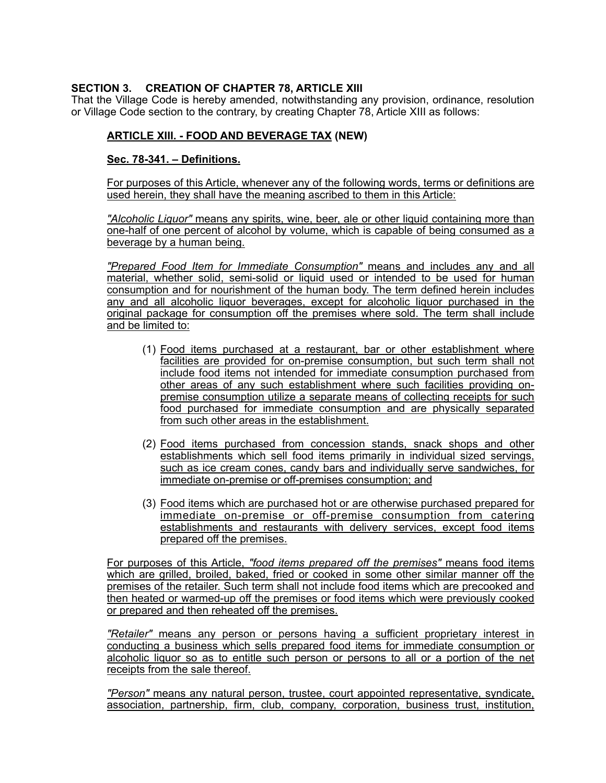# **SECTION 3. CREATION OF CHAPTER 78, ARTICLE XIII**

That the Village Code is hereby amended, notwithstanding any provision, ordinance, resolution or Village Code section to the contrary, by creating Chapter 78, Article XIII as follows:

## **ARTICLE XIII. - FOOD AND BEVERAGE TAX (NEW)**

### **Sec. 78-341. – Definitions.**

For purposes of this Article, whenever any of the following words, terms or definitions are used herein, they shall have the meaning ascribed to them in this Article:

*"Alcoholic Liquor"* means any spirits, wine, beer, ale or other liquid containing more than one-half of one percent of alcohol by volume, which is capable of being consumed as a beverage by a human being.

*"Prepared Food Item for Immediate Consumption"* means and includes any and all material, whether solid, semi-solid or liquid used or intended to be used for human consumption and for nourishment of the human body. The term defined herein includes any and all alcoholic liquor beverages, except for alcoholic liquor purchased in the original package for consumption off the premises where sold. The term shall include and be limited to:

- (1) Food items purchased at a restaurant, bar or other establishment where facilities are provided for on-premise consumption, but such term shall not include food items not intended for immediate consumption purchased from other areas of any such establishment where such facilities providing onpremise consumption utilize a separate means of collecting receipts for such food purchased for immediate consumption and are physically separated from such other areas in the establishment.
- (2) Food items purchased from concession stands, snack shops and other establishments which sell food items primarily in individual sized servings, such as ice cream cones, candy bars and individually serve sandwiches, for immediate on-premise or off-premises consumption; and
- (3) Food items which are purchased hot or are otherwise purchased prepared for immediate on-premise or off-premise consumption from catering establishments and restaurants with delivery services, except food items prepared off the premises.

For purposes of this Article, *"food items prepared off the premises"* means food items which are grilled, broiled, baked, fried or cooked in some other similar manner off the premises of the retailer. Such term shall not include food items which are precooked and then heated or warmed-up off the premises or food items which were previously cooked or prepared and then reheated off the premises.

*"Retailer"* means any person or persons having a sufficient proprietary interest in conducting a business which sells prepared food items for immediate consumption or alcoholic liquor so as to entitle such person or persons to all or a portion of the net receipts from the sale thereof.

*"Person"* means any natural person, trustee, court appointed representative, syndicate, association, partnership, firm, club, company, corporation, business trust, institution,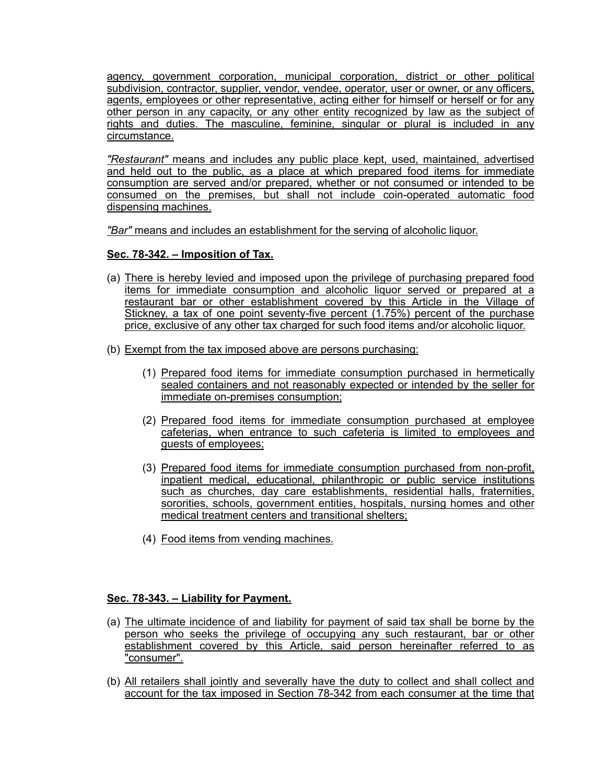agency, government corporation, municipal corporation, district or other political subdivision, contractor, supplier, vendor, vendee, operator, user or owner, or any officers, agents, employees or other representative, acting either for himself or herself or for any other person in any capacity, or any other entity recognized by law as the subject of rights and duties. The masculine, feminine, singular or plural is included in any circumstance.

*"Restaurant"* means and includes any public place kept, used, maintained, advertised and held out to the public, as a place at which prepared food items for immediate consumption are served and/or prepared, whether or not consumed or intended to be consumed on the premises, but shall not include coin-operated automatic food dispensing machines.

*"Bar"* means and includes an establishment for the serving of alcoholic liquor.

# **Sec. 78-342. – Imposition of Tax.**

- (a) There is hereby levied and imposed upon the privilege of purchasing prepared food items for immediate consumption and alcoholic liquor served or prepared at a restaurant bar or other establishment covered by this Article in the Village of Stickney, a tax of one point seventy-five percent (1.75%) percent of the purchase price, exclusive of any other tax charged for such food items and/or alcoholic liquor.
- (b) Exempt from the tax imposed above are persons purchasing:
	- (1) Prepared food items for immediate consumption purchased in hermetically sealed containers and not reasonably expected or intended by the seller for immediate on-premises consumption;
	- (2) Prepared food items for immediate consumption purchased at employee cafeterias, when entrance to such cafeteria is limited to employees and guests of employees;
	- (3) Prepared food items for immediate consumption purchased from non-profit, inpatient medical, educational, philanthropic or public service institutions such as churches, day care establishments, residential halls, fraternities, sororities, schools, government entities, hospitals, nursing homes and other medical treatment centers and transitional shelters;
	- (4) Food items from vending machines.

# **Sec. 78-343. – Liability for Payment.**

- (a) The ultimate incidence of and liability for payment of said tax shall be borne by the person who seeks the privilege of occupying any such restaurant, bar or other establishment covered by this Article, said person hereinafter referred to as "consumer".
- (b) All retailers shall jointly and severally have the duty to collect and shall collect and account for the tax imposed in Section 78-342 from each consumer at the time that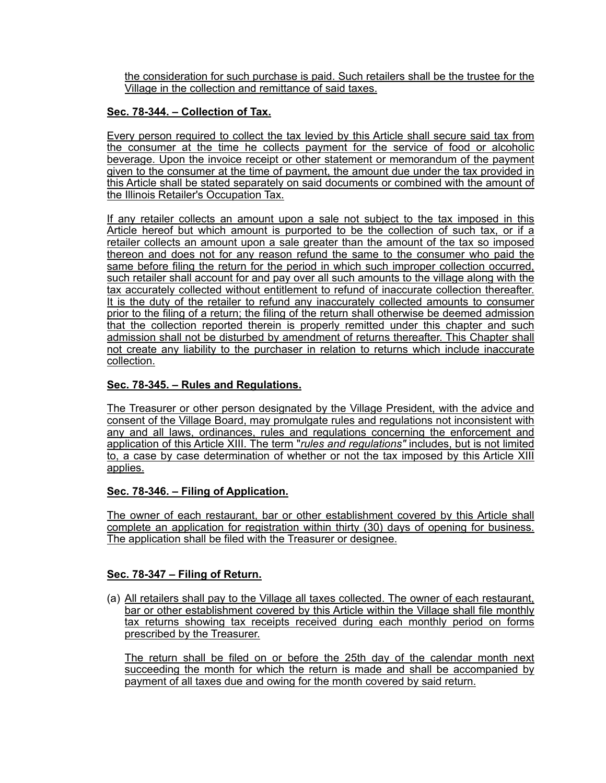the consideration for such purchase is paid. Such retailers shall be the trustee for the Village in the collection and remittance of said taxes.

# **Sec. 78-344. – Collection of Tax.**

Every person required to collect the tax levied by this Article shall secure said tax from the consumer at the time he collects payment for the service of food or alcoholic beverage. Upon the invoice receipt or other statement or memorandum of the payment given to the consumer at the time of payment, the amount due under the tax provided in this Article shall be stated separately on said documents or combined with the amount of the Illinois Retailer's Occupation Tax.

If any retailer collects an amount upon a sale not subject to the tax imposed in this Article hereof but which amount is purported to be the collection of such tax, or if a retailer collects an amount upon a sale greater than the amount of the tax so imposed thereon and does not for any reason refund the same to the consumer who paid the same before filing the return for the period in which such improper collection occurred, such retailer shall account for and pay over all such amounts to the village along with the tax accurately collected without entitlement to refund of inaccurate collection thereafter. It is the duty of the retailer to refund any inaccurately collected amounts to consumer prior to the filing of a return; the filing of the return shall otherwise be deemed admission that the collection reported therein is properly remitted under this chapter and such admission shall not be disturbed by amendment of returns thereafter. This Chapter shall not create any liability to the purchaser in relation to returns which include inaccurate collection.

# **Sec. 78-345. – Rules and Regulations.**

The Treasurer or other person designated by the Village President, with the advice and consent of the Village Board, may promulgate rules and regulations not inconsistent with any and all laws, ordinances, rules and regulations concerning the enforcement and application of this Article XIII. The term "*rules and regulations"* includes, but is not limited to, a case by case determination of whether or not the tax imposed by this Article XIII applies.

### **Sec. 78-346. – Filing of Application.**

The owner of each restaurant, bar or other establishment covered by this Article shall complete an application for registration within thirty (30) days of opening for business. The application shall be filed with the Treasurer or designee.

# **Sec. 78-347 – Filing of Return.**

(a) All retailers shall pay to the Village all taxes collected. The owner of each restaurant, bar or other establishment covered by this Article within the Village shall file monthly tax returns showing tax receipts received during each monthly period on forms prescribed by the Treasurer.

The return shall be filed on or before the 25th day of the calendar month next succeeding the month for which the return is made and shall be accompanied by payment of all taxes due and owing for the month covered by said return.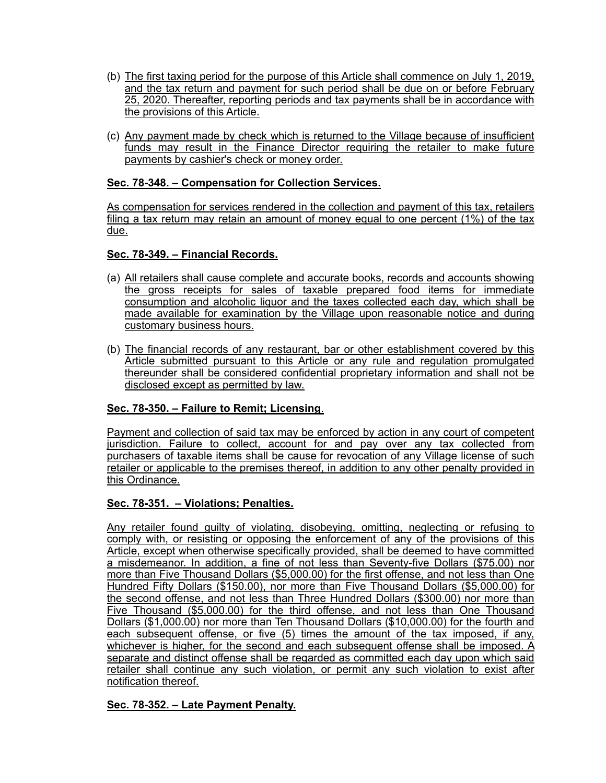- (b) The first taxing period for the purpose of this Article shall commence on July 1, 2019, and the tax return and payment for such period shall be due on or before February 25, 2020. Thereafter, reporting periods and tax payments shall be in accordance with the provisions of this Article.
- (c) Any payment made by check which is returned to the Village because of insufficient funds may result in the Finance Director requiring the retailer to make future payments by cashier's check or money order.

## **Sec. 78-348. – Compensation for Collection Services.**

As compensation for services rendered in the collection and payment of this tax, retailers filing a tax return may retain an amount of money equal to one percent (1%) of the tax due.

## **Sec. 78-349. – Financial Records.**

- (a) All retailers shall cause complete and accurate books, records and accounts showing the gross receipts for sales of taxable prepared food items for immediate consumption and alcoholic liquor and the taxes collected each day, which shall be made available for examination by the Village upon reasonable notice and during customary business hours.
- (b) The financial records of any restaurant, bar or other establishment covered by this Article submitted pursuant to this Article or any rule and regulation promulgated thereunder shall be considered confidential proprietary information and shall not be disclosed except as permitted by law.

# **Sec. 78-350. – Failure to Remit; Licensing**.

Payment and collection of said tax may be enforced by action in any court of competent jurisdiction. Failure to collect, account for and pay over any tax collected from purchasers of taxable items shall be cause for revocation of any Village license of such retailer or applicable to the premises thereof, in addition to any other penalty provided in this Ordinance.

### **Sec. 78-351. – Violations; Penalties.**

Any retailer found guilty of violating, disobeying, omitting, neglecting or refusing to comply with, or resisting or opposing the enforcement of any of the provisions of this Article, except when otherwise specifically provided, shall be deemed to have committed a misdemeanor. In addition, a fine of not less than Seventy-five Dollars (\$75.00) nor more than Five Thousand Dollars (\$5,000.00) for the first offense, and not less than One Hundred Fifty Dollars (\$150.00), nor more than Five Thousand Dollars (\$5,000.00) for the second offense, and not less than Three Hundred Dollars (\$300.00) nor more than Five Thousand (\$5,000.00) for the third offense, and not less than One Thousand Dollars (\$1,000.00) nor more than Ten Thousand Dollars (\$10,000.00) for the fourth and each subsequent offense, or five (5) times the amount of the tax imposed, if any, whichever is higher, for the second and each subsequent offense shall be imposed. A separate and distinct offense shall be regarded as committed each day upon which said retailer shall continue any such violation, or permit any such violation to exist after notification thereof.

### **Sec. 78-352. – Late Payment Penalty.**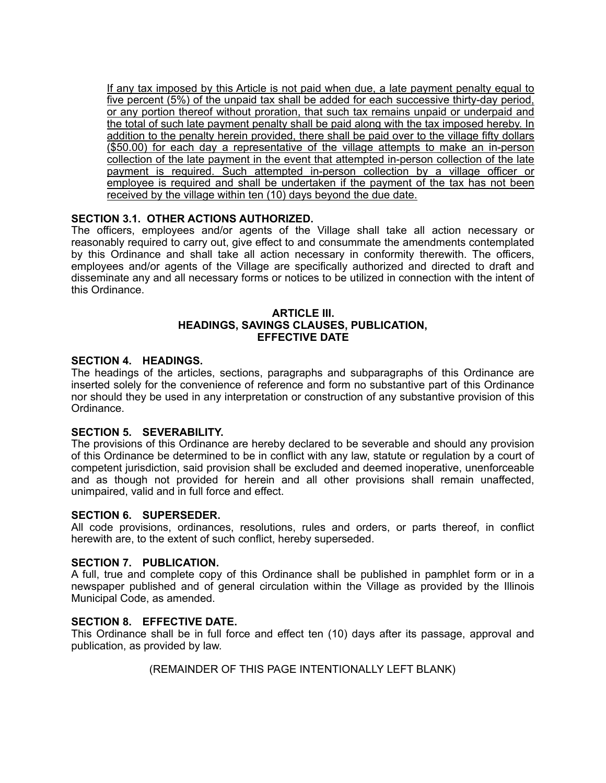If any tax imposed by this Article is not paid when due, a late payment penalty equal to five percent (5%) of the unpaid tax shall be added for each successive thirty-day period, or any portion thereof without proration, that such tax remains unpaid or underpaid and the total of such late payment penalty shall be paid along with the tax imposed hereby. In addition to the penalty herein provided, there shall be paid over to the village fifty dollars (\$50.00) for each day a representative of the village attempts to make an in-person collection of the late payment in the event that attempted in-person collection of the late payment is required. Such attempted in-person collection by a village officer or employee is required and shall be undertaken if the payment of the tax has not been received by the village within ten (10) days beyond the due date.

# **SECTION 3.1. OTHER ACTIONS AUTHORIZED.**

The officers, employees and/or agents of the Village shall take all action necessary or reasonably required to carry out, give effect to and consummate the amendments contemplated by this Ordinance and shall take all action necessary in conformity therewith. The officers, employees and/or agents of the Village are specifically authorized and directed to draft and disseminate any and all necessary forms or notices to be utilized in connection with the intent of this Ordinance.

### **ARTICLE III. HEADINGS, SAVINGS CLAUSES, PUBLICATION, EFFECTIVE DATE**

### **SECTION 4. HEADINGS.**

The headings of the articles, sections, paragraphs and subparagraphs of this Ordinance are inserted solely for the convenience of reference and form no substantive part of this Ordinance nor should they be used in any interpretation or construction of any substantive provision of this Ordinance.

### **SECTION 5. SEVERABILITY.**

The provisions of this Ordinance are hereby declared to be severable and should any provision of this Ordinance be determined to be in conflict with any law, statute or regulation by a court of competent jurisdiction, said provision shall be excluded and deemed inoperative, unenforceable and as though not provided for herein and all other provisions shall remain unaffected, unimpaired, valid and in full force and effect.

#### **SECTION 6. SUPERSEDER.**

All code provisions, ordinances, resolutions, rules and orders, or parts thereof, in conflict herewith are, to the extent of such conflict, hereby superseded.

#### **SECTION 7. PUBLICATION.**

A full, true and complete copy of this Ordinance shall be published in pamphlet form or in a newspaper published and of general circulation within the Village as provided by the Illinois Municipal Code, as amended.

#### **SECTION 8. EFFECTIVE DATE.**

This Ordinance shall be in full force and effect ten (10) days after its passage, approval and publication, as provided by law.

(REMAINDER OF THIS PAGE INTENTIONALLY LEFT BLANK)